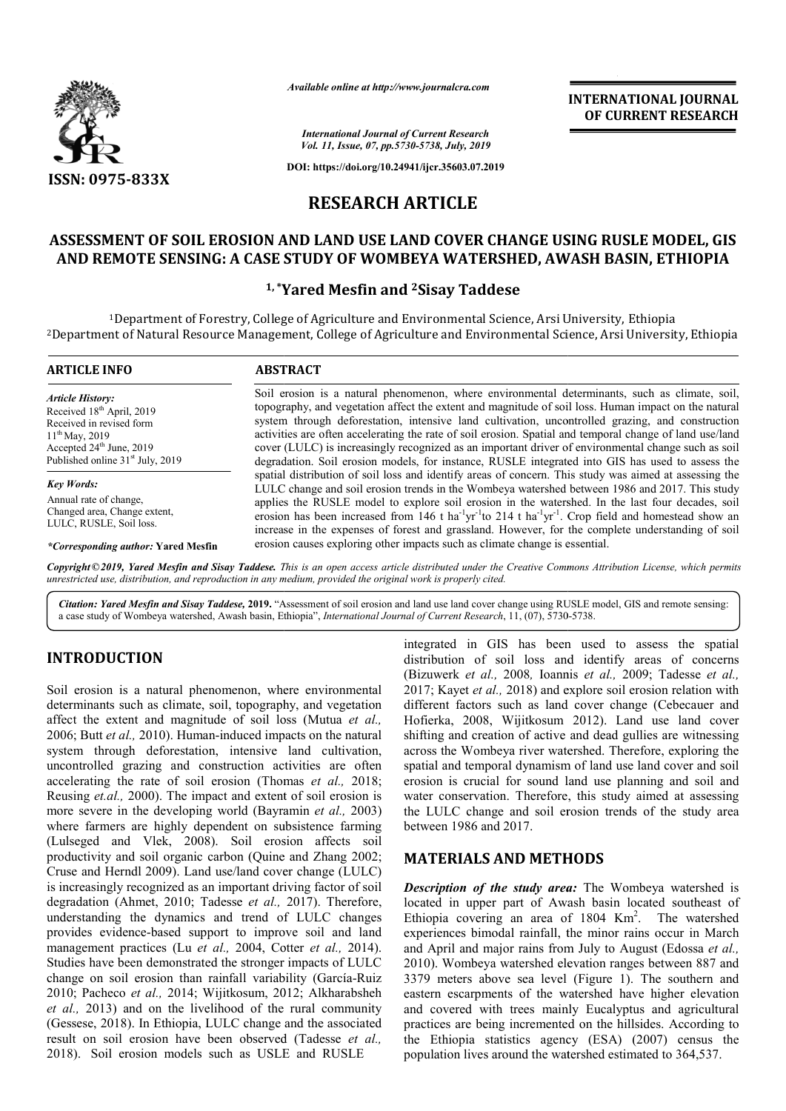

*Available online at http://www.journalcra.com*

# **RESEARCH ARTICLE**

## **ASSESSMENT OF SOIL EROSION AND LAND USE LAND COVER CHANGE USING RUSLE MODEL, GIS**  ASSESSMENT OF SOIL EROSION AND LAND USE LAND COVER CHANGE USING RUSLE MODEL, GI<br>AND REMOTE SENSING: A CASE STUDY OF WOMBEYA WATERSHED, AWASH BASIN, ETHIOPIA

### **1, \*Yared Mesfin and Yared 2Sisay Taddese**

|                                                                                                                                                                                                                                                                                                                                                                                                                                                                                                                                                                                                                                                                                                                                                                             |                         | unuvic vinine ui nup://www.jvurnuicru.com<br><b>INTERNATIONAL JOURNAL</b><br>OF CURRENT RESEARCH                                                                                                                                                                                                                                                                                                                                                                                                                                                                                                                                                                                                                                                                                 |
|-----------------------------------------------------------------------------------------------------------------------------------------------------------------------------------------------------------------------------------------------------------------------------------------------------------------------------------------------------------------------------------------------------------------------------------------------------------------------------------------------------------------------------------------------------------------------------------------------------------------------------------------------------------------------------------------------------------------------------------------------------------------------------|-------------------------|----------------------------------------------------------------------------------------------------------------------------------------------------------------------------------------------------------------------------------------------------------------------------------------------------------------------------------------------------------------------------------------------------------------------------------------------------------------------------------------------------------------------------------------------------------------------------------------------------------------------------------------------------------------------------------------------------------------------------------------------------------------------------------|
|                                                                                                                                                                                                                                                                                                                                                                                                                                                                                                                                                                                                                                                                                                                                                                             |                         | <b>International Journal of Current Research</b><br>Vol. 11, Issue, 07, pp.5730-5738, July, 2019                                                                                                                                                                                                                                                                                                                                                                                                                                                                                                                                                                                                                                                                                 |
|                                                                                                                                                                                                                                                                                                                                                                                                                                                                                                                                                                                                                                                                                                                                                                             |                         | DOI: https://doi.org/10.24941/ijcr.35603.07.2019                                                                                                                                                                                                                                                                                                                                                                                                                                                                                                                                                                                                                                                                                                                                 |
| ISSN: 0975-833X                                                                                                                                                                                                                                                                                                                                                                                                                                                                                                                                                                                                                                                                                                                                                             | <b>RESEARCH ARTICLE</b> |                                                                                                                                                                                                                                                                                                                                                                                                                                                                                                                                                                                                                                                                                                                                                                                  |
|                                                                                                                                                                                                                                                                                                                                                                                                                                                                                                                                                                                                                                                                                                                                                                             |                         |                                                                                                                                                                                                                                                                                                                                                                                                                                                                                                                                                                                                                                                                                                                                                                                  |
|                                                                                                                                                                                                                                                                                                                                                                                                                                                                                                                                                                                                                                                                                                                                                                             |                         | ASSESSMENT OF SOIL EROSION AND LAND USE LAND COVER CHANGE USING RUSLE MODEL, GIS                                                                                                                                                                                                                                                                                                                                                                                                                                                                                                                                                                                                                                                                                                 |
|                                                                                                                                                                                                                                                                                                                                                                                                                                                                                                                                                                                                                                                                                                                                                                             |                         | AND REMOTE SENSING: A CASE STUDY OF WOMBEYA WATERSHED, AWASH BASIN, ETHIOPIA                                                                                                                                                                                                                                                                                                                                                                                                                                                                                                                                                                                                                                                                                                     |
|                                                                                                                                                                                                                                                                                                                                                                                                                                                                                                                                                                                                                                                                                                                                                                             |                         | <sup>1,*</sup> Yared Mesfin and <sup>2</sup> Sisay Taddese                                                                                                                                                                                                                                                                                                                                                                                                                                                                                                                                                                                                                                                                                                                       |
|                                                                                                                                                                                                                                                                                                                                                                                                                                                                                                                                                                                                                                                                                                                                                                             |                         | <sup>1</sup> Department of Forestry, College of Agriculture and Environmental Science, Arsi University, Ethiopia<br><sup>2</sup> Department of Natural Resource Management, College of Agriculture and Environmental Science, Arsi University, Ethiopia                                                                                                                                                                                                                                                                                                                                                                                                                                                                                                                          |
| <b>ARTICLE INFO</b>                                                                                                                                                                                                                                                                                                                                                                                                                                                                                                                                                                                                                                                                                                                                                         | <b>ABSTRACT</b>         |                                                                                                                                                                                                                                                                                                                                                                                                                                                                                                                                                                                                                                                                                                                                                                                  |
| <b>Article History:</b><br>Received 18 <sup>th</sup> April, 2019<br>Received in revised form<br>11 <sup>th</sup> May, 2019<br>Accepted 24th June, 2019<br>Published online 31 <sup>st</sup> July, 2019                                                                                                                                                                                                                                                                                                                                                                                                                                                                                                                                                                      |                         | Soil erosion is a natural phenomenon, where environmental determinants, such as climate, soil,<br>topography, and vegetation affect the extent and magnitude of soil loss. Human impact on the natural<br>system through deforestation, intensive land cultivation, uncontrolled grazing, and construction<br>activities are often accelerating the rate of soil erosion. Spatial and temporal change of land use/land<br>cover (LULC) is increasingly recognized as an important driver of environmental change such as soil<br>degradation. Soil erosion models, for instance, RUSLE integrated into GIS has used to assess the                                                                                                                                                |
| <b>Key Words:</b><br>Annual rate of change,<br>Changed area, Change extent,<br>LULC, RUSLE, Soil loss.                                                                                                                                                                                                                                                                                                                                                                                                                                                                                                                                                                                                                                                                      |                         | spatial distribution of soil loss and identify areas of concern. This study was aimed at assessing the<br>LULC change and soil erosion trends in the Wombeya watershed between 1986 and 2017. This study<br>applies the RUSLE model to explore soil erosion in the watershed. In the last four decades, soil<br>erosion has been increased from 146 t ha <sup>-1</sup> yr <sup>-1</sup> to 214 t ha <sup>-1</sup> yr <sup>-1</sup> . Crop field and homestead show an<br>increase in the expenses of forest and grassland. However, for the complete understanding of soil                                                                                                                                                                                                       |
| *Corresponding author: Yared Mesfin                                                                                                                                                                                                                                                                                                                                                                                                                                                                                                                                                                                                                                                                                                                                         |                         | erosion causes exploring other impacts such as climate change is essential.                                                                                                                                                                                                                                                                                                                                                                                                                                                                                                                                                                                                                                                                                                      |
| unrestricted use, distribution, and reproduction in any medium, provided the original work is properly cited.                                                                                                                                                                                                                                                                                                                                                                                                                                                                                                                                                                                                                                                               |                         | Copyright ©2019, Yared Mesfin and Sisay Taddese. This is an open access article distributed under the Creative Commons Attribution License, which permits                                                                                                                                                                                                                                                                                                                                                                                                                                                                                                                                                                                                                        |
|                                                                                                                                                                                                                                                                                                                                                                                                                                                                                                                                                                                                                                                                                                                                                                             |                         | Citation: Yared Mesfin and Sisay Taddese, 2019. "Assessment of soil erosion and land use land cover change using RUSLE model, GIS and remote sensing:<br>a case study of Wombeya watershed, Awash basin, Ethiopia", International Journal of Current Research, 11, (07), 5730-5738.                                                                                                                                                                                                                                                                                                                                                                                                                                                                                              |
| <b>INTRODUCTION</b><br>Soil erosion is a natural phenomenon, where environmental<br>determinants such as climate, soil, topography, and vegetation<br>affect the extent and magnitude of soil loss (Mutua et al.,<br>2006; Butt et al., 2010). Human-induced impacts on the natural<br>system through deforestation, intensive land cultivation,<br>uncontrolled grazing and construction activities are often<br>accelerating the rate of soil erosion (Thomas et al., 2018;<br>Reusing et.al., 2000). The impact and extent of soil erosion is                                                                                                                                                                                                                            |                         | integrated in GIS has been used to assess the spatial<br>distribution of soil loss and identify areas of concerns<br>(Bizuwerk et al., 2008, Ioannis et al., 2009; Tadesse et al.,<br>2017; Kayet et al., 2018) and explore soil erosion relation with<br>different factors such as land cover change (Cebecauer and<br>Hofierka, 2008, Wijitkosum 2012). Land use land cover<br>shifting and creation of active and dead gullies are witnessing<br>across the Wombeya river watershed. Therefore, exploring the<br>spatial and temporal dynamism of land use land cover and soil<br>erosion is crucial for sound land use planning and soil and<br>water conservation. Therefore, this study aimed at assessing                                                                 |
| more severe in the developing world (Bayramin et al., 2003)<br>where farmers are highly dependent on subsistence farming<br>(Lulseged and Vlek, 2008). Soil erosion affects soil                                                                                                                                                                                                                                                                                                                                                                                                                                                                                                                                                                                            |                         | the LULC change and soil erosion trends of the study area<br>between 1986 and 2017.                                                                                                                                                                                                                                                                                                                                                                                                                                                                                                                                                                                                                                                                                              |
| productivity and soil organic carbon (Quine and Zhang 2002;<br>Cruse and Herndl 2009). Land use/land cover change (LULC)                                                                                                                                                                                                                                                                                                                                                                                                                                                                                                                                                                                                                                                    |                         | <b>MATERIALS AND METHODS</b>                                                                                                                                                                                                                                                                                                                                                                                                                                                                                                                                                                                                                                                                                                                                                     |
| is increasingly recognized as an important driving factor of soil<br>degradation (Ahmet, 2010; Tadesse et al., 2017). Therefore,<br>understanding the dynamics and trend of LULC changes<br>provides evidence-based support to improve soil and land<br>management practices (Lu et al., 2004, Cotter et al., 2014).<br>Studies have been demonstrated the stronger impacts of LULC<br>change on soil erosion than rainfall variability (García-Ruiz<br>2010; Pacheco et al., 2014; Wijitkosum, 2012; Alkharabsheh<br><i>et al.</i> , 2013) and on the livelihood of the rural community<br>(Gessese, 2018). In Ethiopia, LULC change and the associated<br>result on soil erosion have been observed (Tadesse et al.,<br>2018). Soil erosion models such as USLE and RUSLE |                         | <b>Description of the study area:</b> The Wombeya watershed is<br>located in upper part of Awash basin located southeast of<br>Ethiopia covering an area of 1804 Km <sup>2</sup> . The watershed<br>experiences bimodal rainfall, the minor rains occur in March<br>and April and major rains from July to August (Edossa et al.,<br>2010). Wombeya watershed elevation ranges between 887 and<br>3379 meters above sea level (Figure 1). The southern and<br>eastern escarpments of the watershed have higher elevation<br>and covered with trees mainly Eucalyptus and agricultural<br>practices are being incremented on the hillsides. According to<br>the Ethiopia statistics agency (ESA) (2007) census the<br>population lives around the watershed estimated to 364,537. |

### **INTRODUCTION**

### **MATERIALS AND METHODS METHODS**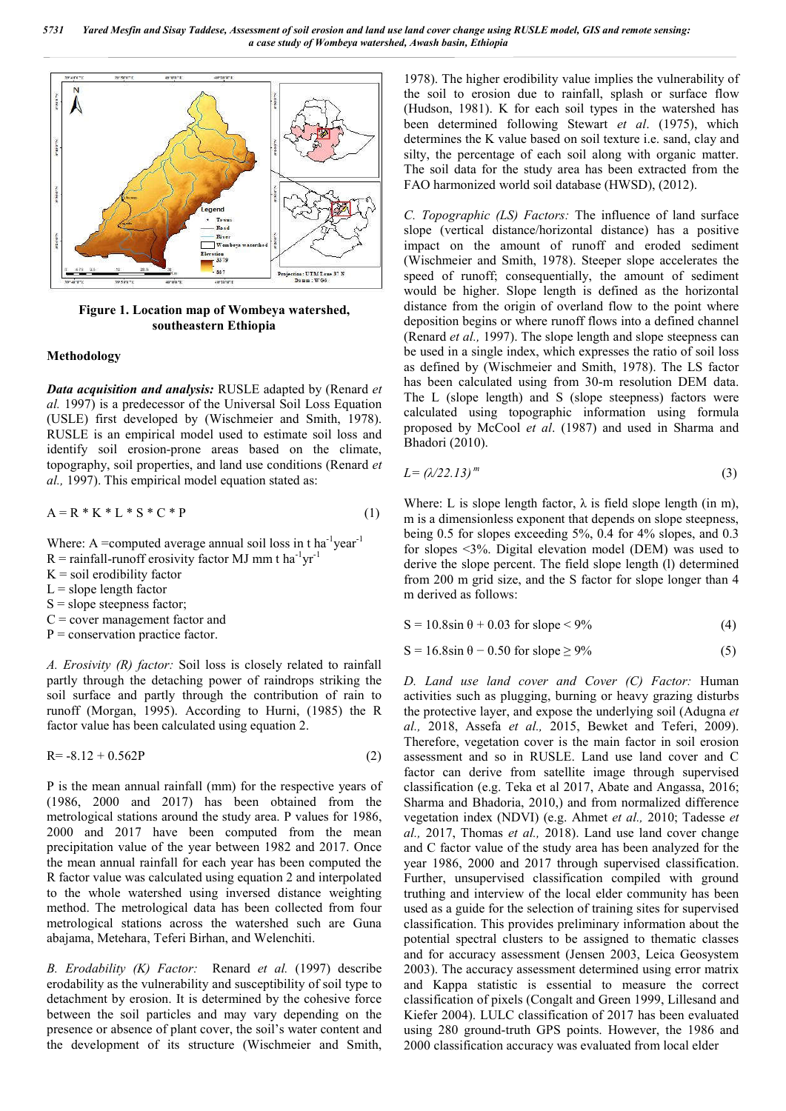

**Figure 1. Location map of Wombeya watershed, southeastern Ethiopia**

#### **Methodology**

*Data acquisition and analysis:* RUSLE adapted by (Renard *et al.* 1997) is a predecessor of the Universal Soil Loss Equation (USLE) first developed by (Wischmeier and Smith, 1978). RUSLE is an empirical model used to estimate soil loss and identify soil erosion-prone areas based on the climate, topography, soil properties, and land use conditions (Renard *et al.,* 1997). This empirical model equation stated as:

$$
A = R * K * L * S * C * P \tag{1}
$$

Where: A =computed average annual soil loss in  $t$  ha<sup>-1</sup>year<sup>-1</sup>

- $R =$  rainfall-runoff erosivity factor MJ mm t ha<sup>-1</sup>yr<sup>-1</sup>
- $K =$  soil erodibility factor
- $L =$ slope length factor
- $S =$ slope steepness factor:
- $C =$  cover management factor and
- $P =$  conservation practice factor.

*A. Erosivity (R) factor:* Soil loss is closely related to rainfall partly through the detaching power of raindrops striking the soil surface and partly through the contribution of rain to runoff (Morgan, 1995). According to Hurni, (1985) the R factor value has been calculated using equation 2.

$$
R = -8.12 + 0.562P
$$
 (2)

P is the mean annual rainfall (mm) for the respective years of (1986, 2000 and 2017) has been obtained from the metrological stations around the study area. P values for 1986, 2000 and 2017 have been computed from the mean precipitation value of the year between 1982 and 2017. Once the mean annual rainfall for each year has been computed the R factor value was calculated using equation 2 and interpolated to the whole watershed using inversed distance weighting method. The metrological data has been collected from four metrological stations across the watershed such are Guna abajama, Metehara, Teferi Birhan, and Welenchiti.

*B. Erodability (K) Factor:* Renard *et al.* (1997) describe erodability as the vulnerability and susceptibility of soil type to detachment by erosion. It is determined by the cohesive force between the soil particles and may vary depending on the presence or absence of plant cover, the soil's water content and the development of its structure (Wischmeier and Smith,

1978). The higher erodibility value implies the vulnerability of the soil to erosion due to rainfall, splash or surface flow (Hudson, 1981). K for each soil types in the watershed has been determined following Stewart *et al*. (1975), which determines the K value based on soil texture i.e. sand, clay and silty, the percentage of each soil along with organic matter. The soil data for the study area has been extracted from the FAO harmonized world soil database (HWSD), (2012).

*C. Topographic (LS) Factors:* The influence of land surface slope (vertical distance/horizontal distance) has a positive impact on the amount of runoff and eroded sediment (Wischmeier and Smith, 1978). Steeper slope accelerates the speed of runoff; consequentially, the amount of sediment would be higher. Slope length is defined as the horizontal distance from the origin of overland flow to the point where deposition begins or where runoff flows into a defined channel (Renard *et al.,* 1997). The slope length and slope steepness can be used in a single index, which expresses the ratio of soil loss as defined by (Wischmeier and Smith, 1978). The LS factor has been calculated using from 30-m resolution DEM data. The L (slope length) and S (slope steepness) factors were calculated using topographic information using formula proposed by McCool *et al*. (1987) and used in Sharma and Bhadori (2010).

$$
L = (\lambda/22.13)^m \tag{3}
$$

Where: L is slope length factor,  $\lambda$  is field slope length (in m), m is a dimensionless exponent that depends on slope steepness, being 0.5 for slopes exceeding 5%, 0.4 for 4% slopes, and 0.3 for slopes <3%. Digital elevation model (DEM) was used to derive the slope percent. The field slope length (l) determined from 200 m grid size, and the S factor for slope longer than 4 m derived as follows:

$$
S = 10.8 \sin \theta + 0.03 \text{ for slope} < 9\% \tag{4}
$$

$$
S = 16.8 \sin \theta - 0.50 \text{ for slope} \ge 9\% \tag{5}
$$

*D. Land use land cover and Cover (C) Factor:* Human activities such as plugging, burning or heavy grazing disturbs the protective layer, and expose the underlying soil (Adugna *et al.,* 2018, Assefa *et al.,* 2015, Bewket and Teferi, 2009). Therefore, vegetation cover is the main factor in soil erosion assessment and so in RUSLE. Land use land cover and C factor can derive from satellite image through supervised classification (e.g. Teka et al 2017, Abate and Angassa, 2016; Sharma and Bhadoria, 2010,) and from normalized difference vegetation index (NDVI) (e.g. Ahmet *et al.,* 2010; Tadesse *et al.,* 2017, Thomas *et al.,* 2018). Land use land cover change and C factor value of the study area has been analyzed for the year 1986, 2000 and 2017 through supervised classification. Further, unsupervised classification compiled with ground truthing and interview of the local elder community has been used as a guide for the selection of training sites for supervised classification. This provides preliminary information about the potential spectral clusters to be assigned to thematic classes and for accuracy assessment (Jensen 2003, Leica Geosystem 2003). The accuracy assessment determined using error matrix and Kappa statistic is essential to measure the correct classification of pixels (Congalt and Green 1999, Lillesand and Kiefer 2004). LULC classification of 2017 has been evaluated using 280 ground-truth GPS points. However, the 1986 and 2000 classification accuracy was evaluated from local elder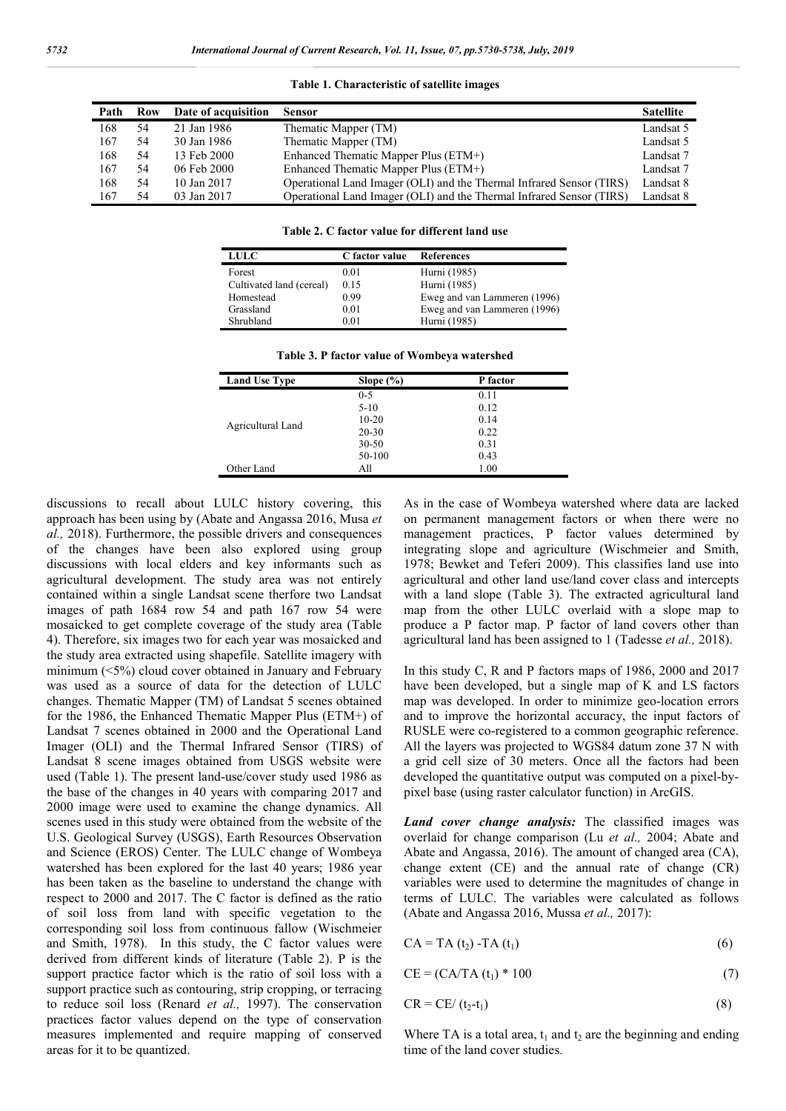#### **Table 1. Characteristic of satellite images**

| Path | Row | Date of acquisition | <b>Sensor</b>                                                        | <b>Satellite</b> |
|------|-----|---------------------|----------------------------------------------------------------------|------------------|
| 168  | 54  | 21 Jan 1986         | Thematic Mapper (TM)                                                 | Landsat 5        |
| 167  | 54  | 30 Jan 1986         | Thematic Mapper (TM)                                                 | Landsat 5        |
| 168  | 54  | 13 Feb 2000         | Enhanced Thematic Mapper Plus (ETM+)                                 | Landsat 7        |
| 167  | 54  | 06 Feb 2000         | Enhanced Thematic Mapper Plus (ETM+)                                 | Landsat 7        |
| 168  | 54  | 10 Jan 2017         | Operational Land Imager (OLI) and the Thermal Infrared Sensor (TIRS) | Landsat 8        |
| 167  | 54  | 03 Jan 2017         | Operational Land Imager (OLI) and the Thermal Infrared Sensor (TIRS) | Landsat 8        |

**Table 2. C factor value for different land use**

| <b>LULC</b>              | C factor value | <b>References</b>            |
|--------------------------|----------------|------------------------------|
| Forest                   | 0.01           | Hurni (1985)                 |
| Cultivated land (cereal) | 0.15           | Hurni (1985)                 |
| Homestead                | 0.99           | Eweg and van Lammeren (1996) |
| Grassland                | 0.01           | Eweg and van Lammeren (1996) |
| Shrubland                | 0.01           | Hurni (1985)                 |

| Table 3. P factor value of Wombeya watershed |  |  |  |
|----------------------------------------------|--|--|--|
|                                              |  |  |  |

| <b>Land Use Type</b> | Slope $(\% )$ | P factor |
|----------------------|---------------|----------|
|                      | $0 - 5$       | 0.11     |
|                      | $5 - 10$      | 0.12     |
|                      | $10 - 20$     | 0.14     |
| Agricultural Land    | $20 - 30$     | 0.22     |
|                      | $30 - 50$     | 0.31     |
|                      | 50-100        | 0.43     |
| Other Land           | All           | 1.00     |

discussions to recall about LULC history covering, this approach has been using by (Abate and Angassa 2016, Musa *et al.,* 2018). Furthermore, the possible drivers and consequences of the changes have been also explored using group discussions with local elders and key informants such as agricultural development. The study area was not entirely contained within a single Landsat scene therfore two Landsat images of path 1684 row 54 and path 167 row 54 were mosaicked to get complete coverage of the study area (Table 4). Therefore, six images two for each year was mosaicked and the study area extracted using shapefile. Satellite imagery with minimum (<5%) cloud cover obtained in January and February was used as a source of data for the detection of LULC changes. Thematic Mapper (TM) of Landsat 5 scenes obtained for the 1986, the Enhanced Thematic Mapper Plus (ETM+) of Landsat 7 scenes obtained in 2000 and the Operational Land Imager (OLI) and the Thermal Infrared Sensor (TIRS) of Landsat 8 scene images obtained from USGS website were used (Table 1). The present land-use/cover study used 1986 as the base of the changes in 40 years with comparing 2017 and 2000 image were used to examine the change dynamics. All scenes used in this study were obtained from the website of the U.S. Geological Survey (USGS), Earth Resources Observation and Science (EROS) Center. The LULC change of Wombeya watershed has been explored for the last 40 years; 1986 year has been taken as the baseline to understand the change with respect to 2000 and 2017. The C factor is defined as the ratio of soil loss from land with specific vegetation to the corresponding soil loss from continuous fallow (Wischmeier and Smith, 1978). In this study, the C factor values were derived from different kinds of literature (Table 2). P is the support practice factor which is the ratio of soil loss with a support practice such as contouring, strip cropping, or terracing to reduce soil loss (Renard *et al.,* 1997). The conservation practices factor values depend on the type of conservation measures implemented and require mapping of conserved areas for it to be quantized.

As in the case of Wombeya watershed where data are lacked on permanent management factors or when there were no management practices, P factor values determined by integrating slope and agriculture (Wischmeier and Smith, 1978; Bewket and Teferi 2009). This classifies land use into agricultural and other land use/land cover class and intercepts with a land slope (Table 3). The extracted agricultural land map from the other LULC overlaid with a slope map to produce a P factor map. P factor of land covers other than agricultural land has been assigned to 1 (Tadesse *et al.,* 2018).

In this study C, R and P factors maps of 1986, 2000 and 2017 have been developed, but a single map of K and LS factors map was developed. In order to minimize geo-location errors and to improve the horizontal accuracy, the input factors of RUSLE were co-registered to a common geographic reference. All the layers was projected to WGS84 datum zone 37 N with a grid cell size of 30 meters. Once all the factors had been developed the quantitative output was computed on a pixel-bypixel base (using raster calculator function) in ArcGIS.

*Land cover change analysis:* The classified images was overlaid for change comparison (Lu *et al.,* 2004; Abate and Abate and Angassa, 2016). The amount of changed area (CA), change extent (CE) and the annual rate of change (CR) variables were used to determine the magnitudes of change in terms of LULC. The variables were calculated as follows (Abate and Angassa 2016, Mussa *et al.,* 2017):

$$
CA = TA(t_2) - TA(t_1) \tag{6}
$$

$$
CE = (CA/TA(t1) * 100
$$
 (7)

$$
CR = CE/(t_2-t_1)
$$
 (8)

Where TA is a total area,  $t_1$  and  $t_2$  are the beginning and ending time of the land cover studies.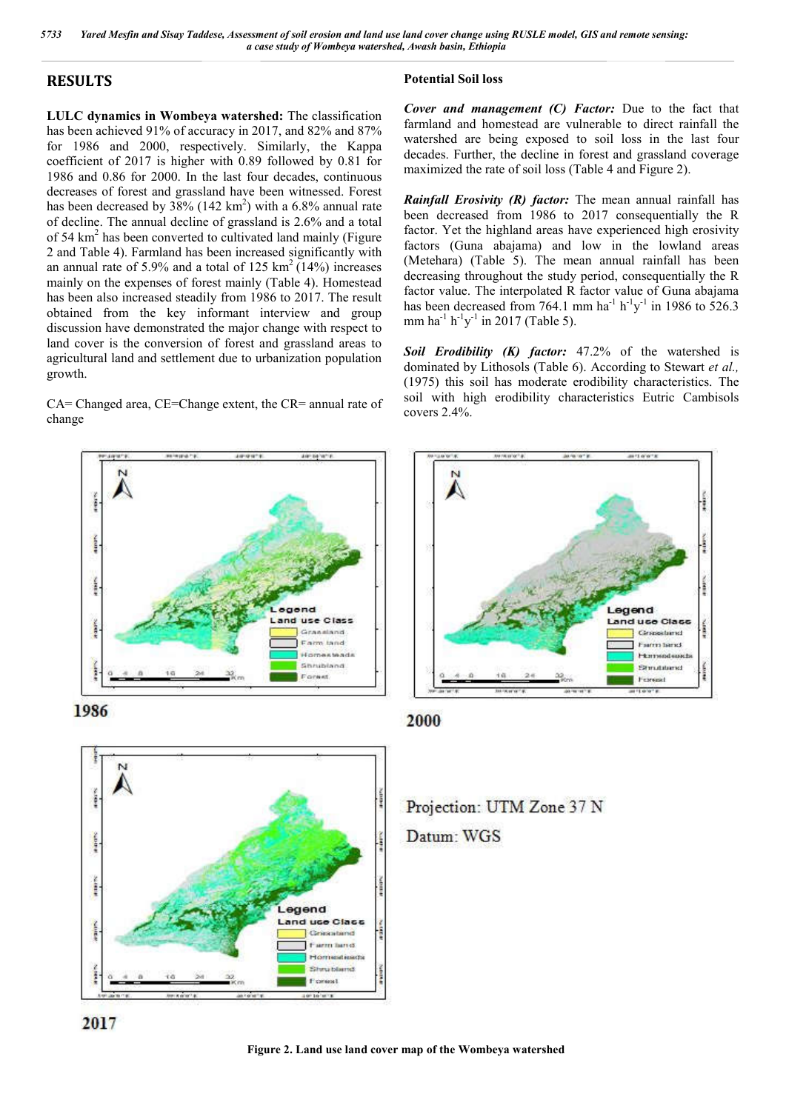### **RESULTS**

**LULC dynamics in Wombeya watershed:** The classification has been achieved 91% of accuracy in 2017, and 82% and 87% for 1986 and 2000, respectively. Similarly, the Kappa coefficient of 2017 is higher with 0.89 followed by 0.81 for 1986 and 0.86 for 2000. In the last four decades, continuous decreases of forest and grassland have been witnessed. Forest has been decreased by  $38\%$  (142 km<sup>2</sup>) with a 6.8% annual rate of decline. The annual decline of grassland is 2.6% and a total of 54  $km<sup>2</sup>$  has been converted to cultivated land mainly (Figure 2 and Table 4). Farmland has been increased significantly with an annual rate of 5.9% and a total of 125 km<sup>2</sup> (14%) increases mainly on the expenses of forest mainly (Table 4). Homestead has been also increased steadily from 1986 to 2017. The result obtained from the key informant interview and group discussion have demonstrated the major change with respect to land cover is the conversion of forest and grassland areas to agricultural land and settlement due to urbanization population growth.

CA= Changed area, CE=Change extent, the CR= annual rate of change







### **Potential Soil loss**

*Cover and management (C) Factor:* Due to the fact that farmland and homestead are vulnerable to direct rainfall the watershed are being exposed to soil loss in the last four decades. Further, the decline in forest and grassland coverage maximized the rate of soil loss (Table 4 and Figure 2).

*Rainfall Erosivity (R) factor:* The mean annual rainfall has been decreased from 1986 to 2017 consequentially the R factor. Yet the highland areas have experienced high erosivity factors (Guna abajama) and low in the lowland areas (Metehara) (Table 5). The mean annual rainfall has been decreasing throughout the study period, consequentially the R factor value. The interpolated R factor value of Guna abajama has been decreased from 764.1 mm  $ha^{-1} h^{-1}y^{-1}$  in 1986 to 526.3 mm ha<sup>-1</sup> h<sup>-1</sup>y<sup>-1</sup> in 2017 (Table 5).

*Soil Erodibility (K) factor:* 47.2% of the watershed is dominated by Lithosols (Table 6). According to Stewart *et al.,*  (1975) this soil has moderate erodibility characteristics. The soil with high erodibility characteristics Eutric Cambisols covers 2.4%.



2000

Projection: UTM Zone 37 N Datum: WGS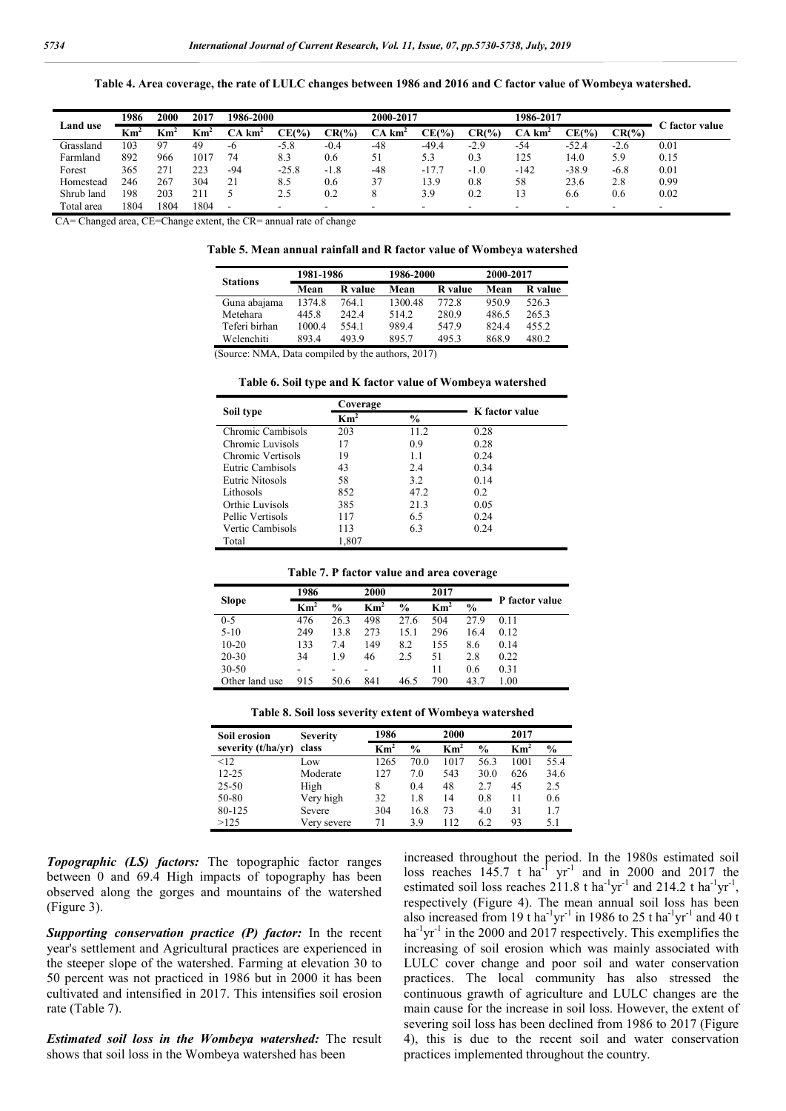**Table 4. Area coverage, the rate of LULC changes between 1986 and 2016 and C factor value of Wombeya watershed.**

|                 | 1986         | 2000 | 2017      | 1986-2000                       |          |          | 2000-2017             |         |          | 1986-2017             |         |           |                |
|-----------------|--------------|------|-----------|---------------------------------|----------|----------|-----------------------|---------|----------|-----------------------|---------|-----------|----------------|
| <b>Land use</b> | ${\rm Km}^2$ | Km   | . .<br>Кm | $\mathcal{C} \mathbf{A}$<br>km. | $CE(\%)$ | $CR(\%)$ | CА<br>km <sup>4</sup> | CE(%    | $CR(\%)$ | CА<br>km <sup>2</sup> | CE(%    | $CR(\% )$ | C factor value |
| Grassland       | 103          | 97   | 49        | -6                              | $-5.8$   | $-0.4$   | $-48$                 | $-49.4$ | $-2.9$   | -54                   | $-52.4$ | $-2.6$    | 0.01           |
| Farmland        | 892          | 966  | 1017      | 74                              | 8.3      | 0.6      | 51                    | 5.3     | 0.3      | 125                   | 14.0    | 5.9       | 0.15           |
| Forest          | 365          | 271  | 223       | $-94$                           | $-25.8$  | $-1.8$   | $-48$                 | $-17.7$ | $-1.0$   | $-142$                | $-38.9$ | $-6.8$    | 0.01           |
| Homestead       | 246          | 267  | 304       | 21                              | 8.5      | 0.6      | 37                    | 13.9    | 0.8      | 58                    | 23.6    | 2.8       | 0.99           |
| Shrub land      | 198          | 203  | 211       |                                 | 2.5      | 0.2      |                       | 3.9     | 0.2      |                       | 6.6     | 0.6       | 0.02           |
| Total area      | 1804         | 1804 | 1804      | -                               |          | -        | -                     |         |          | -                     |         | -         | -              |

CA= Changed area, CE=Change extent, the CR= annual rate of change

|  |  | Table 5. Mean annual rainfall and R factor value of Wombeya watershed |  |  |  |  |
|--|--|-----------------------------------------------------------------------|--|--|--|--|
|--|--|-----------------------------------------------------------------------|--|--|--|--|

| <b>Stations</b> | 1981-1986 |                | 1986-2000 |         | 2000-2017 |         |  |
|-----------------|-----------|----------------|-----------|---------|-----------|---------|--|
|                 | Mean      | <b>R</b> value | Mean      | R value | Mean      | R value |  |
| Guna abajama    | 1374.8    | 764.1          | 1300.48   | 772.8   | 950.9     | 526.3   |  |
| Metehara        | 445.8     | 242.4          | 5142      | 280.9   | 486.5     | 265.3   |  |
| Teferi birhan   | 1000.4    | 554.1          | 989.4     | 547.9   | 824.4     | 455.2   |  |
| Welenchiti      | 893.4     | 493.9          | 895.7     | 495.3   | 868.9     | 480.2   |  |

(Source: NMA, Data compiled by the authors, 2017)

|  |  |  | Table 6. Soil type and K factor value of Wombeya watershed |
|--|--|--|------------------------------------------------------------|
|  |  |  |                                                            |

|                   | Coverage        |               | K factor value |
|-------------------|-----------------|---------------|----------------|
| Soil type         | $\mathbf{Km}^2$ | $\frac{6}{9}$ |                |
| Chromic Cambisols | 203             | 11.2          | 0.28           |
| Chromic Luvisols  | 17              | 0.9           | 0.28           |
| Chromic Vertisols | 19              | 11            | 0.24           |
| Eutric Cambisols  | 43              | 2.4           | 0.34           |
| Eutric Nitosols   | 58              | 3.2           | 0.14           |
| Lithosols         | 852             | 47.2          | 02             |
| Orthic Luvisols   | 385             | 21.3          | 0.05           |
| Pellic Vertisols  | 117             | 6.5           | 0.24           |
| Vertic Cambisols  | 113             | 6.3           | 0.24           |
| Total             | 1,807           |               |                |

|  |  | Table 7. P factor value and area coverage |  |  |
|--|--|-------------------------------------------|--|--|
|--|--|-------------------------------------------|--|--|

|                | 1986            |               | 2000            | 2017          |                          |               |                |
|----------------|-----------------|---------------|-----------------|---------------|--------------------------|---------------|----------------|
| <b>Slope</b>   | Km <sup>2</sup> | $\frac{6}{9}$ | Km <sup>2</sup> | $\frac{0}{0}$ | $\overline{\text{Km}}^2$ | $\frac{0}{0}$ | P factor value |
| $0 - 5$        | 476             | 26.3          | 498             | 27.6          | 504                      | 27.9          | 0.11           |
| $5-10$         | 249             | 13.8          | 273             | 15.1          | 296                      | 16.4          | 0.12           |
| $10 - 20$      | 133             | 7.4           | 149             | 8.2           | 155                      | 8.6           | 0.14           |
| 20-30          | 34              | 19            | 46              | 2.5           | 51                       | 2.8           | 0.22           |
| $30 - 50$      |                 |               |                 |               | 11                       | 0.6           | 0.31           |
| Other land use | 915             | 50.6          | 841             | 46.5          | 790                      | 43.7          | 1.00           |

|  |  | Table 8. Soil loss severity extent of Wombeya watershed |
|--|--|---------------------------------------------------------|
|  |  |                                                         |

| Soil erosion       | <b>Severity</b> | 1986                     |               | 2000          |               | 2017            |               |
|--------------------|-----------------|--------------------------|---------------|---------------|---------------|-----------------|---------------|
| severity (t/ha/yr) | class           | $\overline{\text{Km}^2}$ | $\frac{0}{0}$ | $\text{Km}^2$ | $\frac{0}{0}$ | Km <sup>2</sup> | $\frac{0}{0}$ |
| <12                | Low.            | 1265                     | 70.0          | 1017          | 56.3          | 1001            | 55.4          |
| $12 - 25$          | Moderate        | 127                      | 7.0           | 543           | 30.0          | 626             | 34.6          |
| $25 - 50$          | High            | 8                        | 0.4           | 48            | 2.7           | 45              | 2.5           |
| 50-80              | Very high       | 32                       | 1.8           | 14            | 0.8           | 11              | 0.6           |
| 80-125             | Severe          | 304                      | 16.8          | 73            | 4.0           | 31              | 17            |
| >125               | Very severe     | 71                       | 3.9           | 112           | 6.2           | 93              | 5.1           |

*Topographic (LS) factors:* The topographic factor ranges between 0 and 69.4 High impacts of topography has been observed along the gorges and mountains of the watershed (Figure 3).

*Supporting conservation practice (P) factor:* In the recent year's settlement and Agricultural practices are experienced in the steeper slope of the watershed. Farming at elevation 30 to 50 percent was not practiced in 1986 but in 2000 it has been cultivated and intensified in 2017. This intensifies soil erosion rate (Table 7).

*Estimated soil loss in the Wombeya watershed:* The result shows that soil loss in the Wombeya watershed has been

increased throughout the period. In the 1980s estimated soil loss reaches  $145.7$  t ha<sup>-1</sup> yr<sup>-1</sup> and in 2000 and 2017 the estimated soil loss reaches  $211.8$  t ha<sup>-1</sup>yr<sup>-1</sup> and  $214.2$  t ha<sup>-1</sup>yr<sup>-1</sup>, respectively (Figure 4). The mean annual soil loss has been also increased from 19 t ha<sup>-1</sup>yr<sup>-1</sup> in 1986 to 25 t ha<sup>-1</sup>yr<sup>-1</sup> and 40 t ha<sup>-1</sup>yr<sup>-1</sup> in the 2000 and 2017 respectively. This exemplifies the increasing of soil erosion which was mainly associated with LULC cover change and poor soil and water conservation practices. The local community has also stressed the continuous grawth of agriculture and LULC changes are the main cause for the increase in soil loss. However, the extent of severing soil loss has been declined from 1986 to 2017 (Figure 4), this is due to the recent soil and water conservation practices implemented throughout the country.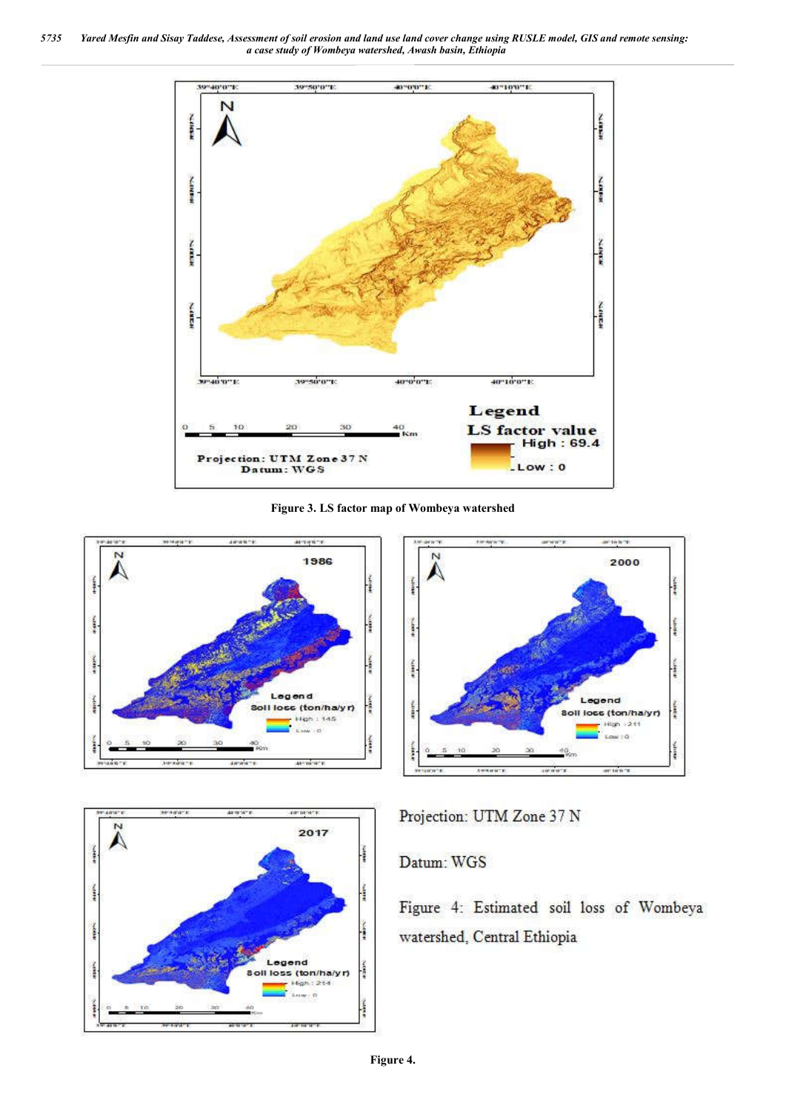*5735 Yared Mesfin and Sisay Taddese, Assessment of soil erosion and land use land cover change using RUSLE model, GIS and remote sensing: a case study of Wombeya watershed, Awash basin, Ethiopia*



**Figure 3. LS factor map of Wombeya watershed**







Projection: UTM Zone 37 N

## Datum: WGS

Figure 4: Estimated soil loss of Wombeya watershed, Central Ethiopia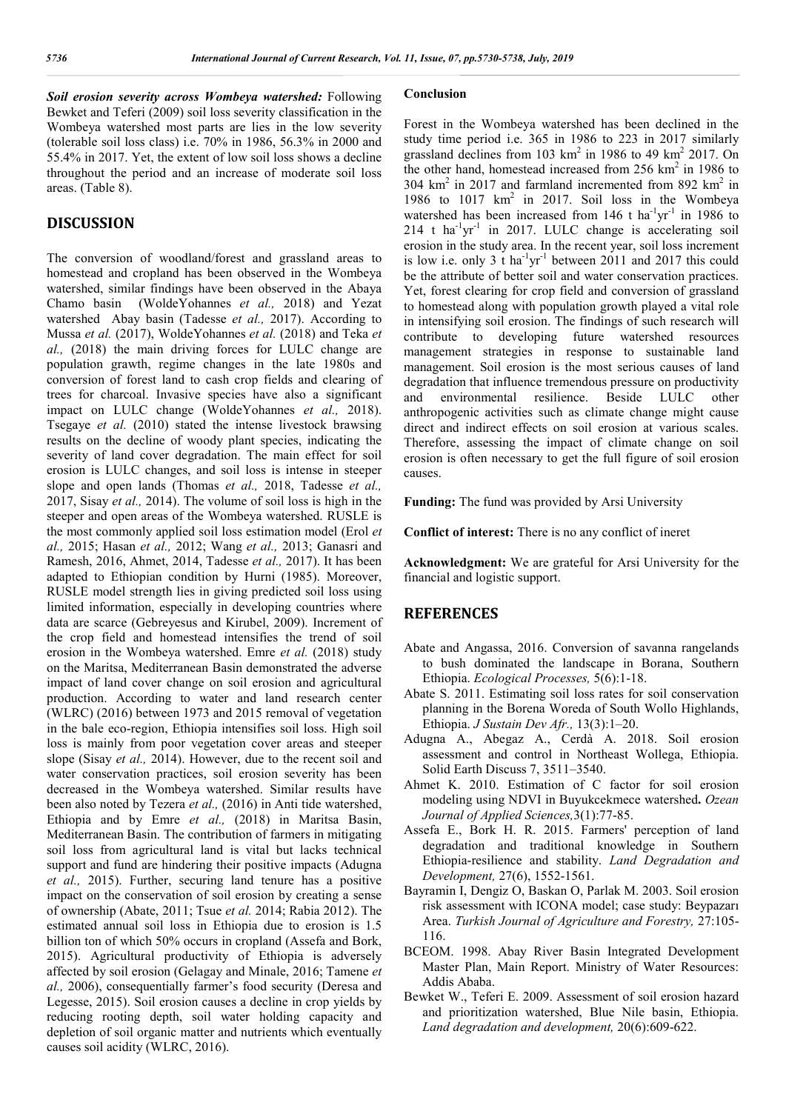*Soil erosion severity across Wombeya watershed:* Following Bewket and Teferi (2009) soil loss severity classification in the Wombeya watershed most parts are lies in the low severity (tolerable soil loss class) i.e. 70% in 1986, 56.3% in 2000 and 55.4% in 2017. Yet, the extent of low soil loss shows a decline throughout the period and an increase of moderate soil loss areas. (Table 8).

#### **DISCUSSION**

The conversion of woodland/forest and grassland areas to homestead and cropland has been observed in the Wombeya watershed, similar findings have been observed in the Abaya Chamo basin (WoldeYohannes *et al.,* 2018) and Yezat watershed Abay basin (Tadesse *et al.,* 2017). According to Mussa *et al.* (2017), WoldeYohannes *et al.* (2018) and Teka *et al.,* (2018) the main driving forces for LULC change are population grawth, regime changes in the late 1980s and conversion of forest land to cash crop fields and clearing of trees for charcoal. Invasive species have also a significant impact on LULC change (WoldeYohannes *et al.,* 2018). Tsegaye *et al.* (2010) stated the intense livestock brawsing results on the decline of woody plant species, indicating the severity of land cover degradation. The main effect for soil erosion is LULC changes, and soil loss is intense in steeper slope and open lands (Thomas *et al.,* 2018, Tadesse *et al.,*  2017, Sisay *et al.,* 2014). The volume of soil loss is high in the steeper and open areas of the Wombeya watershed. RUSLE is the most commonly applied soil loss estimation model (Erol *et al.,* 2015; Hasan *et al.,* 2012; Wang *et al.,* 2013; Ganasri and Ramesh, 2016, Ahmet, 2014, Tadesse *et al.,* 2017). It has been adapted to Ethiopian condition by Hurni (1985). Moreover, RUSLE model strength lies in giving predicted soil loss using limited information, especially in developing countries where data are scarce (Gebreyesus and Kirubel, 2009). Increment of the crop field and homestead intensifies the trend of soil erosion in the Wombeya watershed. Emre *et al.* (2018) study on the Maritsa, Mediterranean Basin demonstrated the adverse impact of land cover change on soil erosion and agricultural production. According to water and land research center (WLRC) (2016) between 1973 and 2015 removal of vegetation in the bale eco-region, Ethiopia intensifies soil loss. High soil loss is mainly from poor vegetation cover areas and steeper slope (Sisay *et al.,* 2014). However, due to the recent soil and water conservation practices, soil erosion severity has been decreased in the Wombeya watershed. Similar results have been also noted by Tezera *et al.,* (2016) in Anti tide watershed, Ethiopia and by Emre *et al.,* (2018) in Maritsa Basin, Mediterranean Basin. The contribution of farmers in mitigating soil loss from agricultural land is vital but lacks technical support and fund are hindering their positive impacts (Adugna *et al.,* 2015). Further, securing land tenure has a positive impact on the conservation of soil erosion by creating a sense of ownership (Abate, 2011; Tsue *et al.* 2014; Rabia 2012). The estimated annual soil loss in Ethiopia due to erosion is 1.5 billion ton of which 50% occurs in cropland (Assefa and Bork, 2015). Agricultural productivity of Ethiopia is adversely affected by soil erosion (Gelagay and Minale, 2016; Tamene *et al.,* 2006), consequentially farmer's food security (Deresa and Legesse, 2015). Soil erosion causes a decline in crop yields by reducing rooting depth, soil water holding capacity and depletion of soil organic matter and nutrients which eventually causes soil acidity (WLRC, 2016).

#### **Conclusion**

Forest in the Wombeya watershed has been declined in the study time period i.e. 365 in 1986 to 223 in 2017 similarly grassland declines from 103 km2 in 1986 to 49 km2 2017. On the other hand, homestead increased from  $256 \text{ km}^2$  in 1986 to 304 km<sup>2</sup> in 2017 and farmland incremented from 892 km<sup>2</sup> in 1986 to 1017  $km^2$  in 2017. Soil loss in the Wombeya watershed has been increased from 146 t ha<sup>-1</sup>yr<sup>-1</sup> in 1986 to  $214$  t ha<sup>-1</sup>yr<sup>-1</sup> in 2017. LULC change is accelerating soil erosion in the study area. In the recent year, soil loss increment is low i.e. only  $3$  t ha<sup>-1</sup>yr<sup>-1</sup> between 2011 and 2017 this could be the attribute of better soil and water conservation practices. Yet, forest clearing for crop field and conversion of grassland to homestead along with population growth played a vital role in intensifying soil erosion. The findings of such research will contribute to developing future watershed resources management strategies in response to sustainable land management. Soil erosion is the most serious causes of land degradation that influence tremendous pressure on productivity and environmental resilience. Beside LULC other anthropogenic activities such as climate change might cause direct and indirect effects on soil erosion at various scales. Therefore, assessing the impact of climate change on soil erosion is often necessary to get the full figure of soil erosion causes.

**Funding:** The fund was provided by Arsi University

**Conflict of interest:** There is no any conflict of ineret

**Acknowledgment:** We are grateful for Arsi University for the financial and logistic support.

#### **REFERENCES**

- Abate and Angassa, 2016. Conversion of savanna rangelands to bush dominated the landscape in Borana, Southern Ethiopia. *Ecological Processes,* 5(6):1-18.
- Abate S. 2011. Estimating soil loss rates for soil conservation planning in the Borena Woreda of South Wollo Highlands, Ethiopia. *J Sustain Dev Afr.,* 13(3):1–20.
- Adugna A., Abegaz A., Cerdà A. 2018. Soil erosion assessment and control in Northeast Wollega, Ethiopia. Solid Earth Discuss 7, 3511–3540.
- Ahmet K. 2010. Estimation of C factor for soil erosion modeling using NDVI in Buyukcekmece watershed**.** *Ozean Journal of Applied Sciences,*3(1):77-85.
- Assefa E., Bork H. R. 2015. Farmers' perception of land degradation and traditional knowledge in Southern Ethiopia-resilience and stability. *Land Degradation and Development,* 27(6), 1552-1561.
- Bayramin I, Dengiz O, Baskan O, Parlak M. 2003. Soil erosion risk assessment with ICONA model; case study: Beypazarı Area. *Turkish Journal of Agriculture and Forestry,* 27:105- 116.
- BCEOM. 1998. Abay River Basin Integrated Development Master Plan, Main Report. Ministry of Water Resources: Addis Ababa.
- Bewket W., Teferi E. 2009. Assessment of soil erosion hazard and prioritization watershed, Blue Nile basin, Ethiopia. *Land degradation and development,* 20(6):609-622.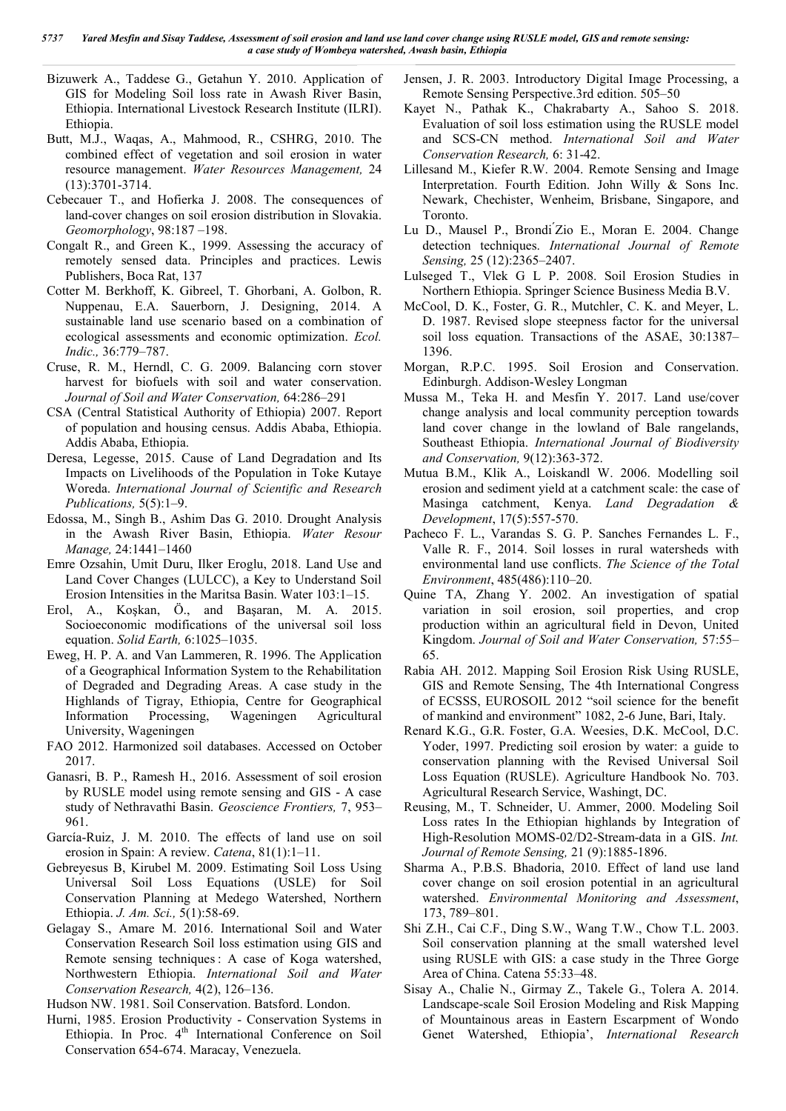- Bizuwerk A., Taddese G., Getahun Y. 2010. Application of GIS for Modeling Soil loss rate in Awash River Basin, Ethiopia. International Livestock Research Institute (ILRI). Ethiopia.
- Butt, M.J., Waqas, A., Mahmood, R., CSHRG, 2010. The combined effect of vegetation and soil erosion in water resource management. *Water Resources Management,* 24 (13):3701-3714.
- Cebecauer T., and Hofierka J. 2008. The consequences of land-cover changes on soil erosion distribution in Slovakia. *Geomorphology*, 98:187 –198.
- Congalt R., and Green K., 1999. Assessing the accuracy of remotely sensed data. Principles and practices. Lewis Publishers, Boca Rat, 137
- Cotter M. Berkhoff, K. Gibreel, T. Ghorbani, A. Golbon, R. Nuppenau, E.A. Sauerborn, J. Designing, 2014. A sustainable land use scenario based on a combination of ecological assessments and economic optimization. *Ecol. Indic.,* 36:779–787.
- Cruse, R. M., Herndl, C. G. 2009. Balancing corn stover harvest for biofuels with soil and water conservation. *Journal of Soil and Water Conservation,* 64:286–291
- CSA (Central Statistical Authority of Ethiopia) 2007. Report of population and housing census. Addis Ababa, Ethiopia. Addis Ababa, Ethiopia.
- Deresa, Legesse, 2015. Cause of Land Degradation and Its Impacts on Livelihoods of the Population in Toke Kutaye Woreda. *International Journal of Scientific and Research Publications,* 5(5):1–9.
- Edossa, M., Singh B., Ashim Das G. 2010. Drought Analysis in the Awash River Basin, Ethiopia. *Water Resour Manage,* 24:1441–1460
- Emre Ozsahin, Umit Duru, Ilker Eroglu, 2018. Land Use and Land Cover Changes (LULCC), a Key to Understand Soil Erosion Intensities in the Maritsa Basin. Water 103:1–15.
- Erol, A., Koşkan, Ö., and Başaran, M. A. 2015. Socioeconomic modifications of the universal soil loss equation. *Solid Earth,* 6:1025–1035.
- Eweg, H. P. A. and Van Lammeren, R. 1996. The Application of a Geographical Information System to the Rehabilitation of Degraded and Degrading Areas. A case study in the Highlands of Tigray, Ethiopia, Centre for Geographical Information Processing, Wageningen Agricultural University, Wageningen
- FAO 2012. Harmonized soil databases. Accessed on October 2017.
- Ganasri, B. P., Ramesh H., 2016. Assessment of soil erosion by RUSLE model using remote sensing and GIS - A case study of Nethravathi Basin. *Geoscience Frontiers,* 7, 953– 961.
- García-Ruiz, J. M. 2010. The effects of land use on soil erosion in Spain: A review. *Catena*, 81(1):1–11.
- Gebreyesus B, Kirubel M. 2009. Estimating Soil Loss Using Universal Soil Loss Equations (USLE) for Soil Conservation Planning at Medego Watershed, Northern Ethiopia. *J. Am. Sci.,* 5(1):58-69.
- Gelagay S., Amare M. 2016. International Soil and Water Conservation Research Soil loss estimation using GIS and Remote sensing techniques : A case of Koga watershed, Northwestern Ethiopia. *International Soil and Water Conservation Research,* 4(2), 126–136.
- Hudson NW. 1981. Soil Conservation. Batsford. London.
- Hurni, 1985. Erosion Productivity Conservation Systems in Ethiopia. In Proc. 4<sup>th</sup> International Conference on Soil Conservation 654-674. Maracay, Venezuela.
- Jensen, J. R. 2003. Introductory Digital Image Processing, a Remote Sensing Perspective.3rd edition. 505–50
- Kayet N., Pathak K., Chakrabarty A., Sahoo S. 2018. Evaluation of soil loss estimation using the RUSLE model and SCS-CN method. *International Soil and Water Conservation Research,* 6: 31-42.
- Lillesand M., Kiefer R.W. 2004. Remote Sensing and Image Interpretation. Fourth Edition. John Willy & Sons Inc. Newark, Chechister, Wenheim, Brisbane, Singapore, and Toronto.
- Lu D., Mausel P., Brondi ́Zio E., Moran E. 2004. Change detection techniques. *International Journal of Remote Sensing,* 25 (12):2365–2407.
- Lulseged T., Vlek G L P. 2008. Soil Erosion Studies in Northern Ethiopia. Springer Science Business Media B.V.
- McCool, D. K., Foster, G. R., Mutchler, C. K. and Meyer, L. D. 1987. Revised slope steepness factor for the universal soil loss equation. Transactions of the ASAE, 30:1387– 1396.
- Morgan, R.P.C. 1995. Soil Erosion and Conservation. Edinburgh. Addison-Wesley Longman
- Mussa M., Teka H. and Mesfin Y. 2017. Land use/cover change analysis and local community perception towards land cover change in the lowland of Bale rangelands, Southeast Ethiopia. *International Journal of Biodiversity and Conservation,* 9(12):363-372.
- Mutua B.M., Klik A., Loiskandl W. 2006. Modelling soil erosion and sediment yield at a catchment scale: the case of Masinga catchment, Kenya. *Land Degradation & Development*, 17(5):557-570.
- Pacheco F. L., Varandas S. G. P. Sanches Fernandes L. F., Valle R. F., 2014. Soil losses in rural watersheds with environmental land use conflicts. *The Science of the Total Environment*, 485(486):110–20.
- Quine TA, Zhang Y. 2002. An investigation of spatial variation in soil erosion, soil properties, and crop production within an agricultural field in Devon, United Kingdom. *Journal of Soil and Water Conservation,* 57:55– 65.
- Rabia AH. 2012. Mapping Soil Erosion Risk Using RUSLE, GIS and Remote Sensing, The 4th International Congress of ECSSS, EUROSOIL 2012 "soil science for the benefit of mankind and environment" 1082, 2-6 June, Bari, Italy.
- Renard K.G., G.R. Foster, G.A. Weesies, D.K. McCool, D.C. Yoder, 1997. Predicting soil erosion by water: a guide to conservation planning with the Revised Universal Soil Loss Equation (RUSLE). Agriculture Handbook No. 703. Agricultural Research Service, Washingt, DC.
- Reusing, M., T. Schneider, U. Ammer, 2000. Modeling Soil Loss rates In the Ethiopian highlands by Integration of High-Resolution MOMS-02/D2-Stream-data in a GIS. *Int. Journal of Remote Sensing,* 21 (9):1885-1896.
- Sharma A., P.B.S. Bhadoria, 2010. Effect of land use land cover change on soil erosion potential in an agricultural watershed. *Environmental Monitoring and Assessment*, 173, 789–801.
- Shi Z.H., Cai C.F., Ding S.W., Wang T.W., Chow T.L. 2003. Soil conservation planning at the small watershed level using RUSLE with GIS: a case study in the Three Gorge Area of China. Catena 55:33–48.
- Sisay A., Chalie N., Girmay Z., Takele G., Tolera A. 2014. Landscape-scale Soil Erosion Modeling and Risk Mapping of Mountainous areas in Eastern Escarpment of Wondo Genet Watershed, Ethiopia', *International Research*